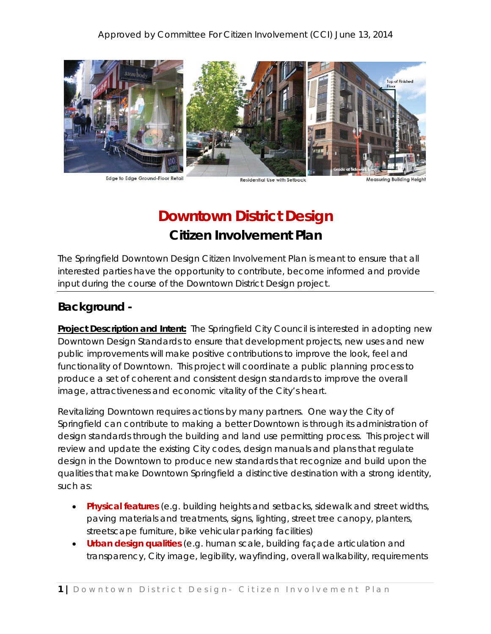

Edge to Edge Ground-Floor Retail

**Residential Use with Setback** 

**Measuring Buildin** 

# **Downtown District Design Citizen Involvement Plan**

The Springfield Downtown Design Citizen Involvement Plan is meant to ensure that all interested parties have the opportunity to contribute, become informed and provide input during the course of the Downtown District Design project.

# **Background -**

**Project Description and Intent:** The Springfield City Council is interested in adopting new Downtown Design Standards to ensure that development projects, new uses and new public improvements will make positive contributions to improve the look, feel and functionality of Downtown. This project will coordinate a public planning process to produce a set of coherent and consistent design standards to improve the overall image, attractiveness and economic vitality of the City's heart.

Revitalizing Downtown requires actions by many partners. One way the City of Springfield can contribute to making a better Downtown is through its administration of design standards through the building and land use permitting process. This project will review and update the existing City codes, design manuals and plans that regulate design in the Downtown to produce new standards that recognize and build upon the qualities that make Downtown Springfield a distinctive destination with a strong identity, such as:

- **Physical features** (e.g. building heights and setbacks, sidewalk and street widths, paving materials and treatments, signs, lighting, street tree canopy, planters, streetscape furniture, bike vehicular parking facilities)
- **Urban design qualities** (e.g. human scale, building façade articulation and transparency, City image, legibility, wayfinding, overall walkability, requirements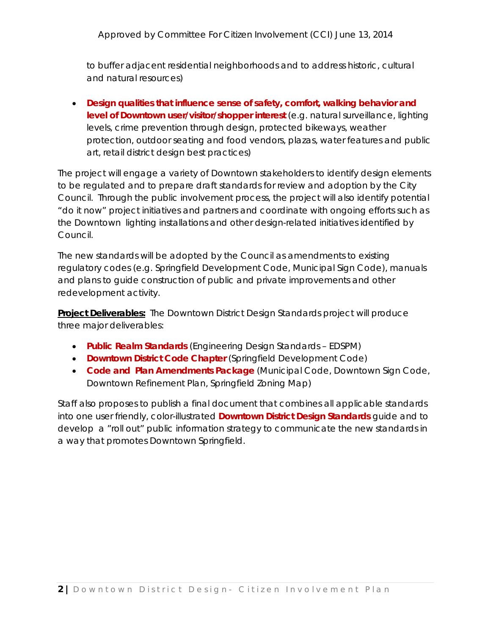to buffer adjacent residential neighborhoods and to address historic, cultural and natural resources)

• **Design qualities that influence sense of safety, comfort, walking behavior and level of Downtown user/visitor/shopper interest** (e.g. natural surveillance, lighting levels, crime prevention through design, protected bikeways, weather protection, outdoor seating and food vendors, plazas, water features and public art, retail district design best practices)

The project will engage a variety of Downtown stakeholders to identify design elements to be regulated and to prepare draft standards for review and adoption by the City Council. Through the public involvement process, the project will also identify potential "do it now" project initiatives and partners and coordinate with ongoing efforts such as the Downtown lighting installations and other design-related initiatives identified by Council.

The new standards will be adopted by the Council as amendments to existing regulatory codes (e.g. Springfield Development Code, Municipal Sign Code), manuals and plans to guide construction of public and private improvements and other redevelopment activity.

**Project Deliverables:** The Downtown District Design Standards project will produce three major deliverables:

- **Public Realm Standards** (Engineering Design Standards EDSPM)
- **Downtown District Code Chapter** (Springfield Development Code)
- **Code and Plan Amendments Package** (Municipal Code, Downtown Sign Code, Downtown Refinement Plan, Springfield Zoning Map)

Staff also proposes to publish a final document that combines all applicable standards into one user friendly, color-illustrated **Downtown District Design Standards** guide and to develop a "roll out" public information strategy to communicate the new standards in a way that promotes Downtown Springfield.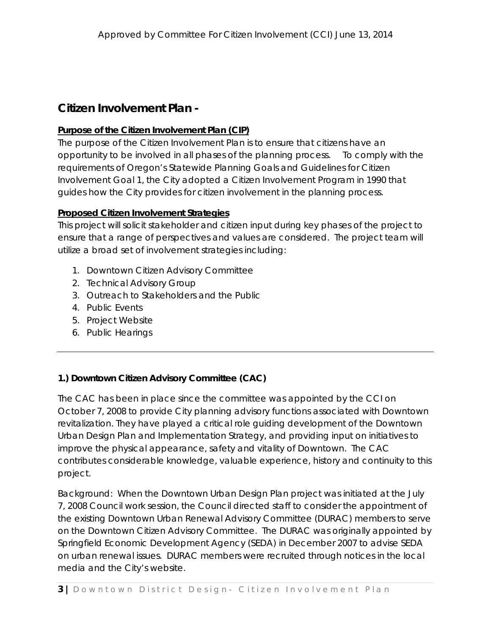## **Citizen Involvement Plan -**

### **Purpose of the Citizen Involvement Plan (CIP)**

The purpose of the Citizen Involvement Plan is to ensure that citizens have an opportunity to be involved in all phases of the planning process. To comply with the requirements of Oregon's Statewide Planning Goals and Guidelines for Citizen Involvement Goal 1, the City adopted a Citizen Involvement Program in 1990 that guides how the City provides for citizen involvement in the planning process.

### **Proposed Citizen Involvement Strategies**

This project will solicit stakeholder and citizen input during key phases of the project to ensure that a range of perspectives and values are considered. The project team will utilize a broad set of involvement strategies including:

- 1. Downtown Citizen Advisory Committee
- 2. Technical Advisory Group
- 3. Outreach to Stakeholders and the Public
- 4. Public Events
- 5. Project Website
- 6. Public Hearings

## **1.) Downtown Citizen Advisory Committee (CAC)**

The CAC has been in place since the committee was appointed by the CCI on October 7, 2008 to provide City planning advisory functions associated with Downtown revitalization. They have played a critical role guiding development of the Downtown Urban Design Plan and Implementation Strategy, and providing input on initiatives to improve the physical appearance, safety and vitality of Downtown. The CAC contributes considerable knowledge, valuable experience, history and continuity to this project.

Background: When the Downtown Urban Design Plan project was initiated at the July 7, 2008 Council work session, the Council directed staff to consider the appointment of the existing Downtown Urban Renewal Advisory Committee (DURAC) members to serve on the Downtown Citizen Advisory Committee. The DURAC was originally appointed by Springfield Economic Development Agency (SEDA) in December 2007 to advise SEDA on urban renewal issues. DURAC members were recruited through notices in the local media and the City's website.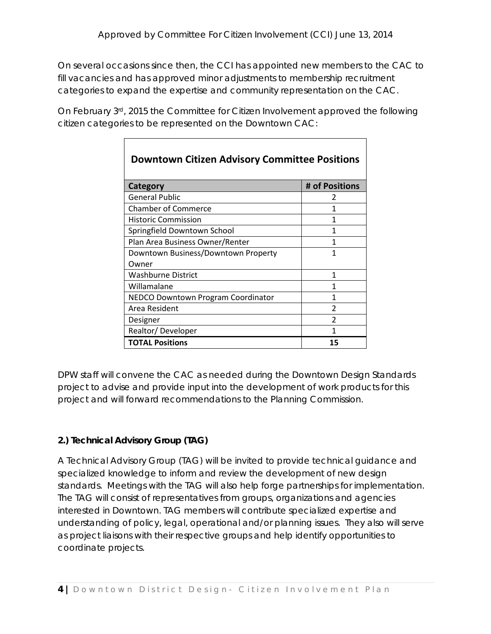On several occasions since then, the CCI has appointed new members to the CAC to fill vacancies and has approved minor adjustments to membership recruitment categories to expand the expertise and community representation on the CAC.

On February  $3^{rd}$ , 2015 the Committee for Citizen Involvement approved the following citizen categories to be represented on the Downtown CAC:

| <b>Downtown Citizen Advisory Committee Positions</b> |                |
|------------------------------------------------------|----------------|
| Category                                             | # of Positions |
| <b>General Public</b>                                | 2              |
| <b>Chamber of Commerce</b>                           | 1              |
| <b>Historic Commission</b>                           | 1              |
| Springfield Downtown School                          | 1              |
| Plan Area Business Owner/Renter                      | 1              |
| Downtown Business/Downtown Property                  | 1              |
| Owner                                                |                |
| <b>Washburne District</b>                            | 1              |
| Willamalane                                          | 1              |
| NEDCO Downtown Program Coordinator                   | 1              |
| Area Resident                                        | $\mathfrak z$  |
| Designer                                             | C              |
| Realtor/Developer                                    |                |
| <b>TOTAL Positions</b>                               | 15             |

DPW staff will convene the CAC as needed during the Downtown Design Standards project to advise and provide input into the development of work products for this project and will forward recommendations to the Planning Commission.

## **2.) Technical Advisory Group (TAG)**

A Technical Advisory Group (TAG) will be invited to provide technical guidance and specialized knowledge to inform and review the development of new design standards. Meetings with the TAG will also help forge partnerships for implementation. The TAG will consist of representatives from groups, organizations and agencies interested in Downtown. TAG members will contribute specialized expertise and understanding of policy, legal, operational and/or planning issues. They also will serve as project liaisons with their respective groups and help identify opportunities to coordinate projects.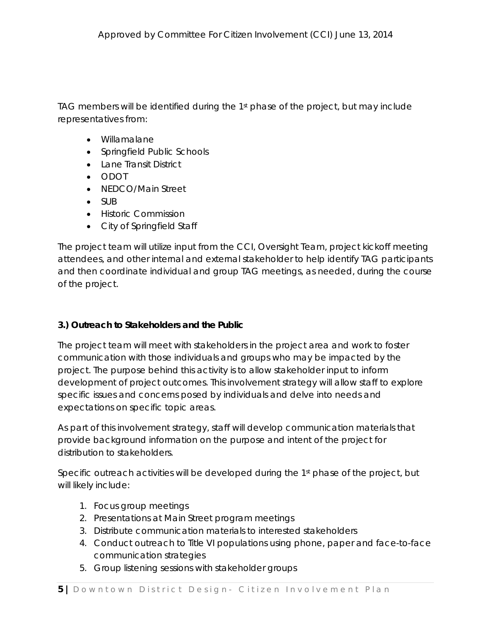TAG members will be identified during the 1st phase of the project, but may include representatives from:

- Willamalane
- Springfield Public Schools
- Lane Transit District
- ODOT
- NEDCO/Main Street
- SUB
- Historic Commission
- City of Springfield Staff

The project team will utilize input from the CCI, Oversight Team, project kickoff meeting attendees, and other internal and external stakeholder to help identify TAG participants and then coordinate individual and group TAG meetings, as needed, during the course of the project.

## **3.) Outreach to Stakeholders and the Public**

The project team will meet with stakeholders in the project area and work to foster communication with those individuals and groups who may be impacted by the project. The purpose behind this activity is to allow stakeholder input to inform development of project outcomes. This involvement strategy will allow staff to explore specific issues and concerns posed by individuals and delve into needs and expectations on specific topic areas.

As part of this involvement strategy, staff will develop communication materials that provide background information on the purpose and intent of the project for distribution to stakeholders.

Specific outreach activities will be developed during the 1<sup>st</sup> phase of the project, but will likely include:

- 1. Focus group meetings
- 2. Presentations at Main Street program meetings
- 3. Distribute communication materials to interested stakeholders
- 4. Conduct outreach to Title VI populations using phone, paper and face-to-face communication strategies
- 5. Group listening sessions with stakeholder groups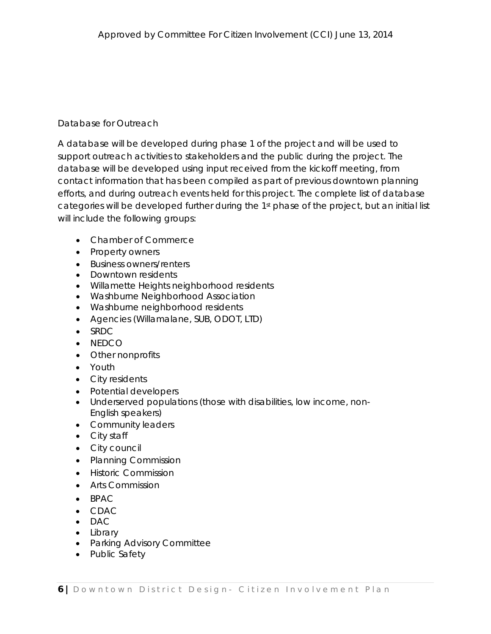## Database for Outreach

A database will be developed during phase 1 of the project and will be used to support outreach activities to stakeholders and the public during the project. The database will be developed using input received from the kickoff meeting, from contact information that has been compiled as part of previous downtown planning efforts, and during outreach events held for this project. The complete list of database categories will be developed further during the 1st phase of the project, but an initial list will include the following groups:

- Chamber of Commerce
- Property owners
- Business owners/renters
- Downtown residents
- Willamette Heights neighborhood residents
- Washburne Neighborhood Association
- Washburne neighborhood residents
- Agencies (Willamalane, SUB, ODOT, LTD)
- SRDC
- NEDCO
- Other nonprofits
- Youth
- City residents
- Potential developers
- Underserved populations (those with disabilities, low income, non-English speakers)
- Community leaders
- City staff
- City council
- Planning Commission
- Historic Commission
- Arts Commission
- BPAC
- CDAC
- DAC
- Library
- Parking Advisory Committee
- Public Safety